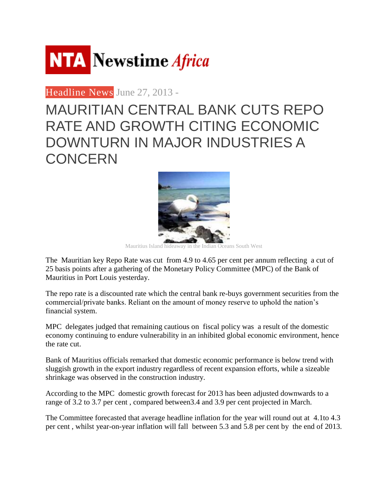

[Headline](http://www.newstimeafrica.com/archives/category/latest-2/headline-news) News June 27, 2013 -

## MAURITIAN CENTRAL BANK CUTS REPO RATE AND GROWTH CITING ECONOMIC DOWNTURN IN MAJOR INDUSTRIES A **CONCERN**



Mauritius Island hideaway in the Indian Oceans South West

The Mauritian key Repo Rate was cut from 4.9 to 4.65 per cent per annum reflecting a cut of 25 basis points after a gathering of the Monetary Policy Committee (MPC) of the Bank of Mauritius in Port Louis yesterday.

The repo rate is a discounted rate which the central bank re-buys government securities from the commercial/private banks. Reliant on the amount of money reserve to uphold the nation's financial system.

MPC delegates judged that remaining cautious on fiscal policy was a result of the domestic economy continuing to endure vulnerability in an inhibited global economic environment, hence the rate cut.

Bank of Mauritius officials remarked that domestic economic performance is below trend with sluggish growth in the export industry regardless of recent expansion efforts, while a sizeable shrinkage was observed in the construction industry.

According to the MPC domestic growth forecast for 2013 has been adjusted downwards to a range of 3.2 to 3.7 per cent , compared between3.4 and 3.9 per cent projected in March.

The Committee forecasted that average headline inflation for the year will round out at 4.1to 4.3 per cent , whilst year-on-year inflation will fall between 5.3 and 5.8 per cent by the end of 2013.